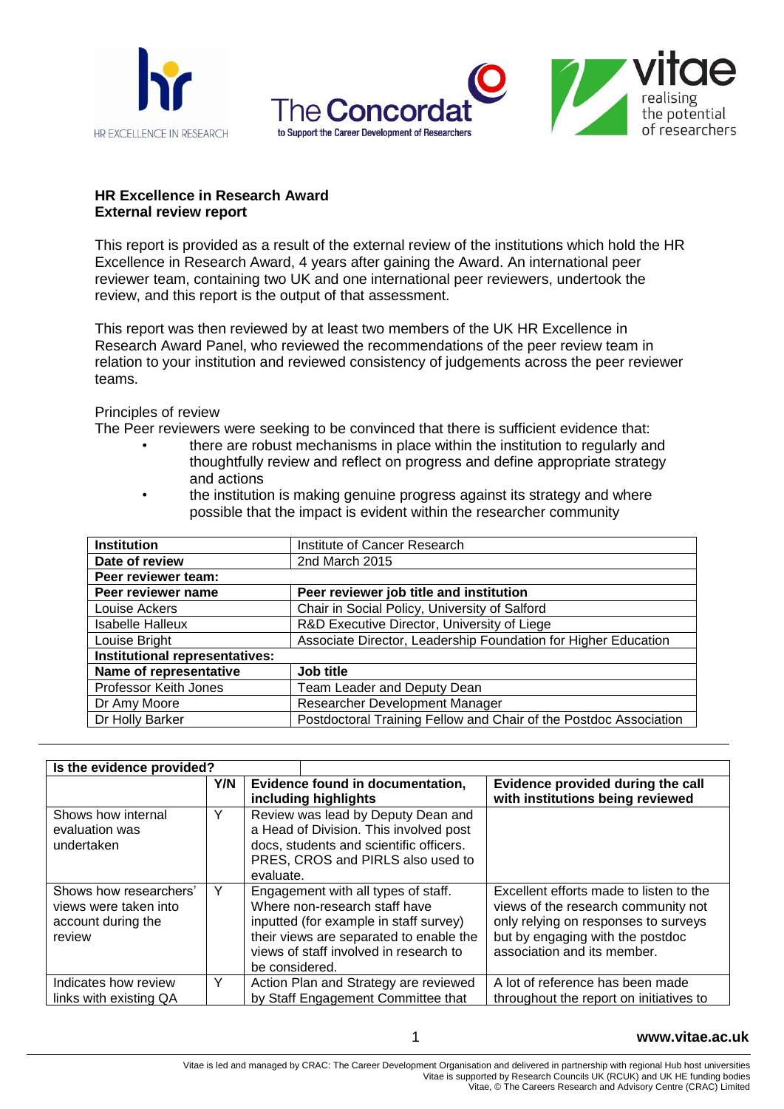



## **HR Excellence in Research Award External review report**

This report is provided as a result of the external review of the institutions which hold the HR Excellence in Research Award, 4 years after gaining the Award. An international peer reviewer team, containing two UK and one international peer reviewers, undertook the review, and this report is the output of that assessment.

This report was then reviewed by at least two members of the UK HR Excellence in Research Award Panel, who reviewed the recommendations of the peer review team in relation to your institution and reviewed consistency of judgements across the peer reviewer teams.

Principles of review

The Peer reviewers were seeking to be convinced that there is sufficient evidence that:

- there are robust mechanisms in place within the institution to regularly and thoughtfully review and reflect on progress and define appropriate strategy and actions
- the institution is making genuine progress against its strategy and where possible that the impact is evident within the researcher community

| <b>Institution</b>             | Institute of Cancer Research                                      |  |
|--------------------------------|-------------------------------------------------------------------|--|
| Date of review                 | 2nd March 2015                                                    |  |
| Peer reviewer team:            |                                                                   |  |
| Peer reviewer name             | Peer reviewer job title and institution                           |  |
| Louise Ackers                  | Chair in Social Policy, University of Salford                     |  |
| <b>Isabelle Halleux</b>        | R&D Executive Director, University of Liege                       |  |
| Louise Bright                  | Associate Director, Leadership Foundation for Higher Education    |  |
| Institutional representatives: |                                                                   |  |
| Name of representative         | Job title                                                         |  |
| Professor Keith Jones          | Team Leader and Deputy Dean                                       |  |
| Dr Amy Moore                   | Researcher Development Manager                                    |  |
| Dr Holly Barker                | Postdoctoral Training Fellow and Chair of the Postdoc Association |  |

| Is the evidence provided?                                                       |     |                                                                                                                                                                                                                       |                                                                                                                                                                                           |
|---------------------------------------------------------------------------------|-----|-----------------------------------------------------------------------------------------------------------------------------------------------------------------------------------------------------------------------|-------------------------------------------------------------------------------------------------------------------------------------------------------------------------------------------|
|                                                                                 | Y/N | Evidence found in documentation,<br>including highlights                                                                                                                                                              | Evidence provided during the call<br>with institutions being reviewed                                                                                                                     |
| Shows how internal<br>evaluation was<br>undertaken                              | Y   | Review was lead by Deputy Dean and<br>a Head of Division. This involved post<br>docs, students and scientific officers.<br>PRES, CROS and PIRLS also used to<br>evaluate.                                             |                                                                                                                                                                                           |
| Shows how researchers'<br>views were taken into<br>account during the<br>review | Y   | Engagement with all types of staff.<br>Where non-research staff have<br>inputted (for example in staff survey)<br>their views are separated to enable the<br>views of staff involved in research to<br>be considered. | Excellent efforts made to listen to the<br>views of the research community not<br>only relying on responses to surveys<br>but by engaging with the postdoc<br>association and its member. |
| Indicates how review<br>links with existing QA                                  | Y   | Action Plan and Strategy are reviewed<br>by Staff Engagement Committee that                                                                                                                                           | A lot of reference has been made<br>throughout the report on initiatives to                                                                                                               |

1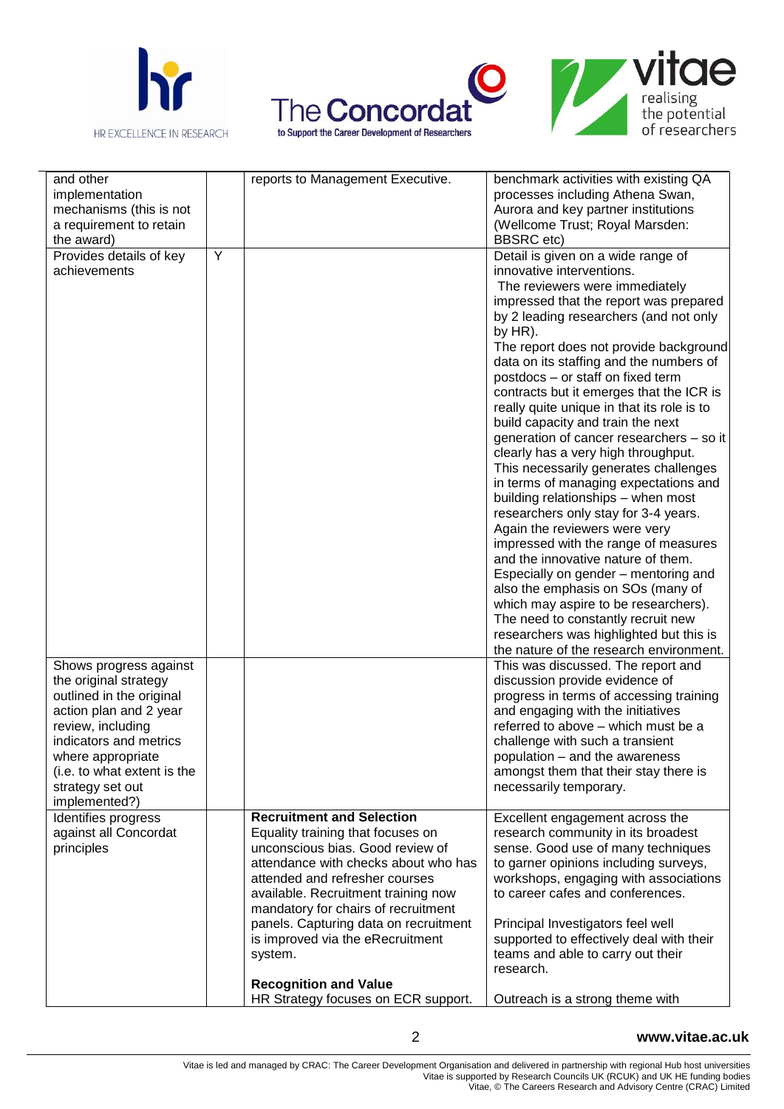





| and other                   |   | reports to Management Executive.      | benchmark activities with existing QA                                         |
|-----------------------------|---|---------------------------------------|-------------------------------------------------------------------------------|
| implementation              |   |                                       | processes including Athena Swan,                                              |
| mechanisms (this is not     |   |                                       | Aurora and key partner institutions                                           |
| a requirement to retain     |   |                                       | (Wellcome Trust; Royal Marsden:                                               |
| the award)                  |   |                                       | <b>BBSRC</b> etc)                                                             |
| Provides details of key     | Y |                                       | Detail is given on a wide range of                                            |
| achievements                |   |                                       | innovative interventions.                                                     |
|                             |   |                                       | The reviewers were immediately                                                |
|                             |   |                                       | impressed that the report was prepared                                        |
|                             |   |                                       | by 2 leading researchers (and not only                                        |
|                             |   |                                       | by HR).                                                                       |
|                             |   |                                       | The report does not provide background                                        |
|                             |   |                                       | data on its staffing and the numbers of                                       |
|                             |   |                                       | postdocs - or staff on fixed term                                             |
|                             |   |                                       | contracts but it emerges that the ICR is                                      |
|                             |   |                                       | really quite unique in that its role is to                                    |
|                             |   |                                       | build capacity and train the next                                             |
|                             |   |                                       | generation of cancer researchers - so it                                      |
|                             |   |                                       | clearly has a very high throughput.                                           |
|                             |   |                                       | This necessarily generates challenges                                         |
|                             |   |                                       | in terms of managing expectations and                                         |
|                             |   |                                       | building relationships - when most                                            |
|                             |   |                                       | researchers only stay for 3-4 years.                                          |
|                             |   |                                       | Again the reviewers were very                                                 |
|                             |   |                                       | impressed with the range of measures                                          |
|                             |   |                                       | and the innovative nature of them.                                            |
|                             |   |                                       | Especially on gender - mentoring and                                          |
|                             |   |                                       | also the emphasis on SOs (many of                                             |
|                             |   |                                       | which may aspire to be researchers).                                          |
|                             |   |                                       | The need to constantly recruit new<br>researchers was highlighted but this is |
|                             |   |                                       | the nature of the research environment.                                       |
| Shows progress against      |   |                                       | This was discussed. The report and                                            |
| the original strategy       |   |                                       | discussion provide evidence of                                                |
| outlined in the original    |   |                                       | progress in terms of accessing training                                       |
| action plan and 2 year      |   |                                       | and engaging with the initiatives                                             |
| review, including           |   |                                       | referred to above - which must be a                                           |
| indicators and metrics      |   |                                       | challenge with such a transient                                               |
| where appropriate           |   |                                       | population - and the awareness                                                |
| (i.e. to what extent is the |   |                                       | amongst them that their stay there is                                         |
| strategy set out            |   |                                       | necessarily temporary.                                                        |
| implemented?)               |   |                                       |                                                                               |
| Identifies progress         |   | <b>Recruitment and Selection</b>      | Excellent engagement across the                                               |
| against all Concordat       |   | Equality training that focuses on     | research community in its broadest                                            |
| principles                  |   | unconscious bias. Good review of      | sense. Good use of many techniques                                            |
|                             |   | attendance with checks about who has  | to garner opinions including surveys,                                         |
|                             |   | attended and refresher courses        | workshops, engaging with associations                                         |
|                             |   | available. Recruitment training now   | to career cafes and conferences.                                              |
|                             |   | mandatory for chairs of recruitment   |                                                                               |
|                             |   | panels. Capturing data on recruitment | Principal Investigators feel well                                             |
|                             |   | is improved via the eRecruitment      | supported to effectively deal with their                                      |
|                             |   | system.                               | teams and able to carry out their                                             |
|                             |   |                                       | research.                                                                     |
|                             |   | <b>Recognition and Value</b>          |                                                                               |
|                             |   | HR Strategy focuses on ECR support.   | Outreach is a strong theme with                                               |

**www.vitae.ac.uk**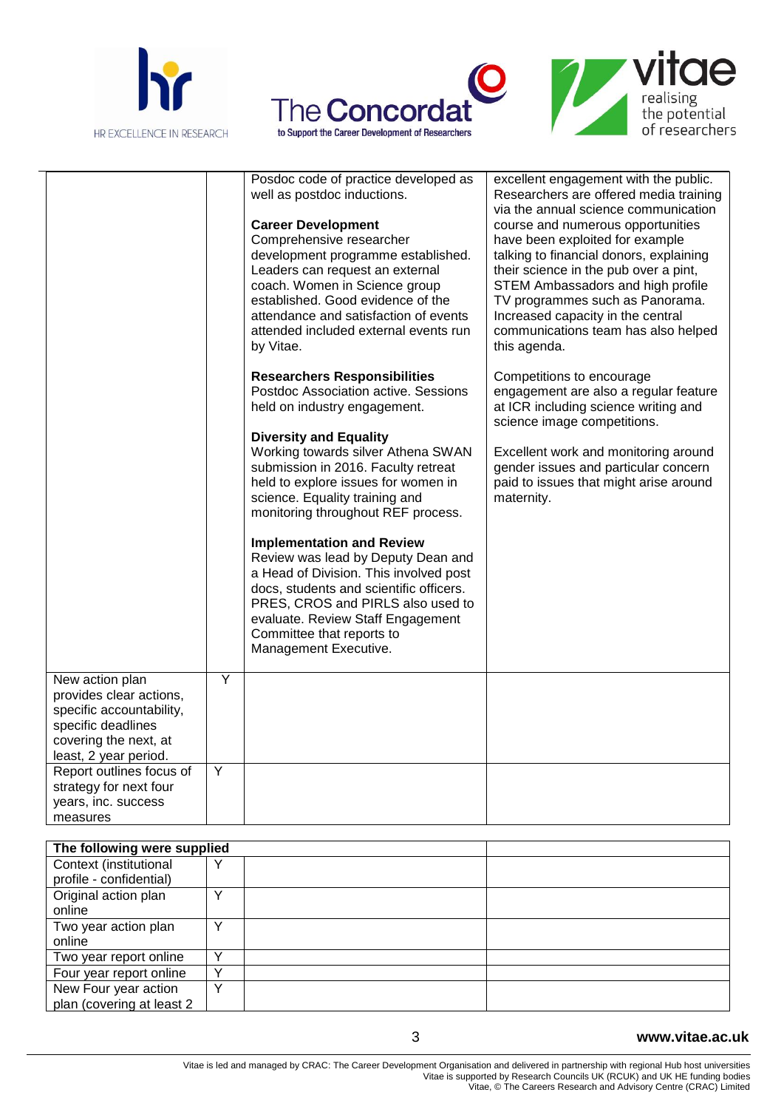

 $\overline{a}$ 





|                          |   | Posdoc code of practice developed as                                  | excellent engagement with the public.                |
|--------------------------|---|-----------------------------------------------------------------------|------------------------------------------------------|
|                          |   | well as postdoc inductions.                                           | Researchers are offered media training               |
|                          |   |                                                                       | via the annual science communication                 |
|                          |   | <b>Career Development</b>                                             | course and numerous opportunities                    |
|                          |   | Comprehensive researcher                                              | have been exploited for example                      |
|                          |   | development programme established.                                    | talking to financial donors, explaining              |
|                          |   | Leaders can request an external                                       | their science in the pub over a pint,                |
|                          |   | coach. Women in Science group                                         | STEM Ambassadors and high profile                    |
|                          |   | established. Good evidence of the                                     | TV programmes such as Panorama.                      |
|                          |   | attendance and satisfaction of events                                 | Increased capacity in the central                    |
|                          |   | attended included external events run                                 | communications team has also helped                  |
|                          |   | by Vitae.                                                             | this agenda.                                         |
|                          |   | <b>Researchers Responsibilities</b>                                   | Competitions to encourage                            |
|                          |   | Postdoc Association active. Sessions                                  | engagement are also a regular feature                |
|                          |   | held on industry engagement.                                          | at ICR including science writing and                 |
|                          |   |                                                                       | science image competitions.                          |
|                          |   | <b>Diversity and Equality</b>                                         |                                                      |
|                          |   | Working towards silver Athena SWAN                                    | Excellent work and monitoring around                 |
|                          |   | submission in 2016. Faculty retreat                                   | gender issues and particular concern                 |
|                          |   | held to explore issues for women in<br>science. Equality training and | paid to issues that might arise around<br>maternity. |
|                          |   | monitoring throughout REF process.                                    |                                                      |
|                          |   |                                                                       |                                                      |
|                          |   | <b>Implementation and Review</b>                                      |                                                      |
|                          |   | Review was lead by Deputy Dean and                                    |                                                      |
|                          |   | a Head of Division. This involved post                                |                                                      |
|                          |   | docs, students and scientific officers.                               |                                                      |
|                          |   | PRES, CROS and PIRLS also used to                                     |                                                      |
|                          |   | evaluate. Review Staff Engagement                                     |                                                      |
|                          |   | Committee that reports to                                             |                                                      |
|                          |   | Management Executive.                                                 |                                                      |
| New action plan          | Y |                                                                       |                                                      |
| provides clear actions,  |   |                                                                       |                                                      |
| specific accountability, |   |                                                                       |                                                      |
| specific deadlines       |   |                                                                       |                                                      |
| covering the next, at    |   |                                                                       |                                                      |
| least, 2 year period.    |   |                                                                       |                                                      |
| Report outlines focus of | Y |                                                                       |                                                      |
| strategy for next four   |   |                                                                       |                                                      |
| years, inc. success      |   |                                                                       |                                                      |
| measures                 |   |                                                                       |                                                      |

| The following were supplied |              |  |  |
|-----------------------------|--------------|--|--|
| Context (institutional      |              |  |  |
| profile - confidential)     |              |  |  |
| Original action plan        |              |  |  |
| online                      |              |  |  |
| Two year action plan        | v            |  |  |
| online                      |              |  |  |
| Two year report online      | $\checkmark$ |  |  |
| Four year report online     |              |  |  |
| New Four year action        | $\checkmark$ |  |  |
| plan (covering at least 2)  |              |  |  |

**www.vitae.ac.uk**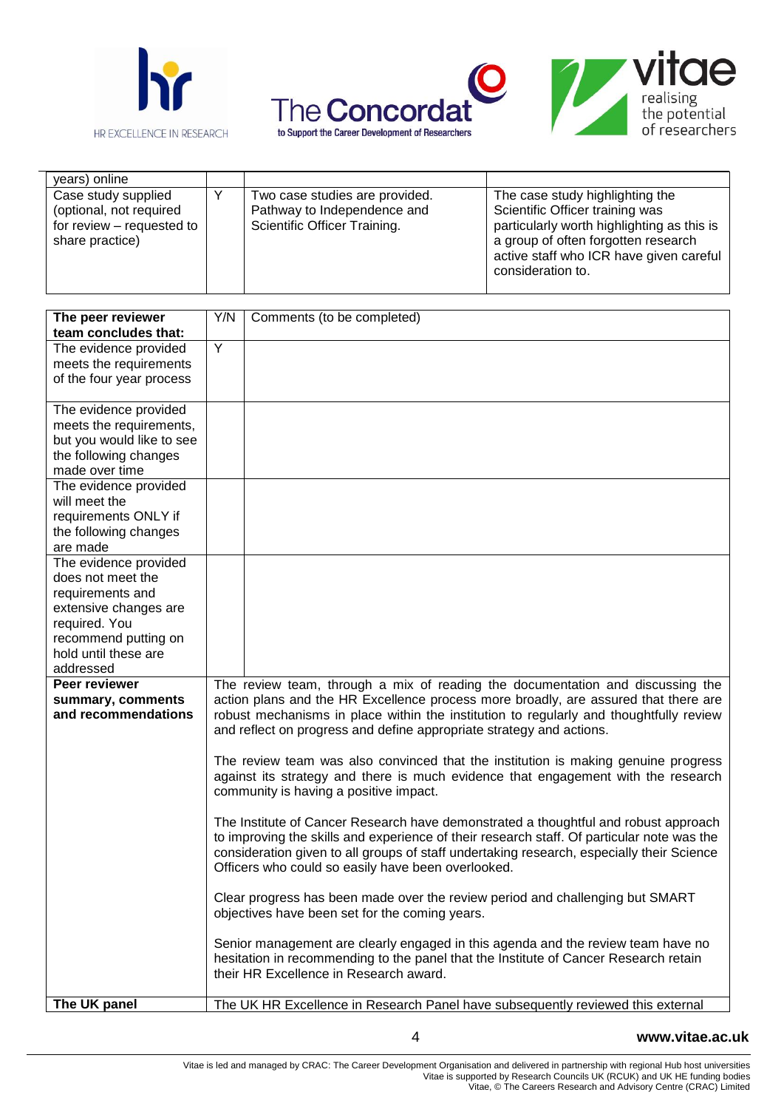





 $\overline{\phantom{0}}$ 

| years) online                                                                                  |                                                                                                                                                                |                                                                                               |                                                                                                                                                                                                                         |
|------------------------------------------------------------------------------------------------|----------------------------------------------------------------------------------------------------------------------------------------------------------------|-----------------------------------------------------------------------------------------------|-------------------------------------------------------------------------------------------------------------------------------------------------------------------------------------------------------------------------|
| Case study supplied<br>(optional, not required<br>for review - requested to<br>share practice) | Y                                                                                                                                                              | Two case studies are provided.<br>Pathway to Independence and<br>Scientific Officer Training. | The case study highlighting the<br>Scientific Officer training was<br>particularly worth highlighting as this is<br>a group of often forgotten research<br>active staff who ICR have given careful<br>consideration to. |
| The peer reviewer<br>team concludes that:                                                      | Y/N                                                                                                                                                            | Comments (to be completed)                                                                    |                                                                                                                                                                                                                         |
| The evidence provided                                                                          | Y                                                                                                                                                              |                                                                                               |                                                                                                                                                                                                                         |
| meets the requirements                                                                         |                                                                                                                                                                |                                                                                               |                                                                                                                                                                                                                         |
| of the four year process                                                                       |                                                                                                                                                                |                                                                                               |                                                                                                                                                                                                                         |
| The evidence provided                                                                          |                                                                                                                                                                |                                                                                               |                                                                                                                                                                                                                         |
| meets the requirements,                                                                        |                                                                                                                                                                |                                                                                               |                                                                                                                                                                                                                         |
| but you would like to see                                                                      |                                                                                                                                                                |                                                                                               |                                                                                                                                                                                                                         |
| the following changes                                                                          |                                                                                                                                                                |                                                                                               |                                                                                                                                                                                                                         |
| made over time                                                                                 |                                                                                                                                                                |                                                                                               |                                                                                                                                                                                                                         |
| The evidence provided<br>will meet the                                                         |                                                                                                                                                                |                                                                                               |                                                                                                                                                                                                                         |
| requirements ONLY if                                                                           |                                                                                                                                                                |                                                                                               |                                                                                                                                                                                                                         |
| the following changes                                                                          |                                                                                                                                                                |                                                                                               |                                                                                                                                                                                                                         |
| are made                                                                                       |                                                                                                                                                                |                                                                                               |                                                                                                                                                                                                                         |
| The evidence provided                                                                          |                                                                                                                                                                |                                                                                               |                                                                                                                                                                                                                         |
| does not meet the                                                                              |                                                                                                                                                                |                                                                                               |                                                                                                                                                                                                                         |
| requirements and                                                                               |                                                                                                                                                                |                                                                                               |                                                                                                                                                                                                                         |
| extensive changes are                                                                          |                                                                                                                                                                |                                                                                               |                                                                                                                                                                                                                         |
| required. You                                                                                  |                                                                                                                                                                |                                                                                               |                                                                                                                                                                                                                         |
| recommend putting on                                                                           |                                                                                                                                                                |                                                                                               |                                                                                                                                                                                                                         |
| hold until these are                                                                           |                                                                                                                                                                |                                                                                               |                                                                                                                                                                                                                         |
| addressed                                                                                      |                                                                                                                                                                |                                                                                               |                                                                                                                                                                                                                         |
| Peer reviewer                                                                                  | The review team, through a mix of reading the documentation and discussing the                                                                                 |                                                                                               |                                                                                                                                                                                                                         |
| summary, comments                                                                              | action plans and the HR Excellence process more broadly, are assured that there are                                                                            |                                                                                               |                                                                                                                                                                                                                         |
| and recommendations                                                                            | robust mechanisms in place within the institution to regularly and thoughtfully review<br>and reflect on progress and define appropriate strategy and actions. |                                                                                               |                                                                                                                                                                                                                         |
|                                                                                                |                                                                                                                                                                |                                                                                               |                                                                                                                                                                                                                         |
|                                                                                                | The review team was also convinced that the institution is making genuine progress                                                                             |                                                                                               |                                                                                                                                                                                                                         |
|                                                                                                | against its strategy and there is much evidence that engagement with the research                                                                              |                                                                                               |                                                                                                                                                                                                                         |
|                                                                                                | community is having a positive impact.                                                                                                                         |                                                                                               |                                                                                                                                                                                                                         |
|                                                                                                | The Institute of Cancer Research have demonstrated a thoughtful and robust approach                                                                            |                                                                                               |                                                                                                                                                                                                                         |
|                                                                                                | to improving the skills and experience of their research staff. Of particular note was the                                                                     |                                                                                               |                                                                                                                                                                                                                         |
|                                                                                                |                                                                                                                                                                | consideration given to all groups of staff undertaking research, especially their Science     |                                                                                                                                                                                                                         |
|                                                                                                | Officers who could so easily have been overlooked.                                                                                                             |                                                                                               |                                                                                                                                                                                                                         |
|                                                                                                |                                                                                                                                                                |                                                                                               |                                                                                                                                                                                                                         |
|                                                                                                | Clear progress has been made over the review period and challenging but SMART<br>objectives have been set for the coming years.                                |                                                                                               |                                                                                                                                                                                                                         |
|                                                                                                |                                                                                                                                                                |                                                                                               |                                                                                                                                                                                                                         |
|                                                                                                |                                                                                                                                                                | Senior management are clearly engaged in this agenda and the review team have no              |                                                                                                                                                                                                                         |
|                                                                                                |                                                                                                                                                                | hesitation in recommending to the panel that the Institute of Cancer Research retain          |                                                                                                                                                                                                                         |
|                                                                                                |                                                                                                                                                                | their HR Excellence in Research award.                                                        |                                                                                                                                                                                                                         |
| The UK panel                                                                                   |                                                                                                                                                                | The UK HR Excellence in Research Panel have subsequently reviewed this external               |                                                                                                                                                                                                                         |